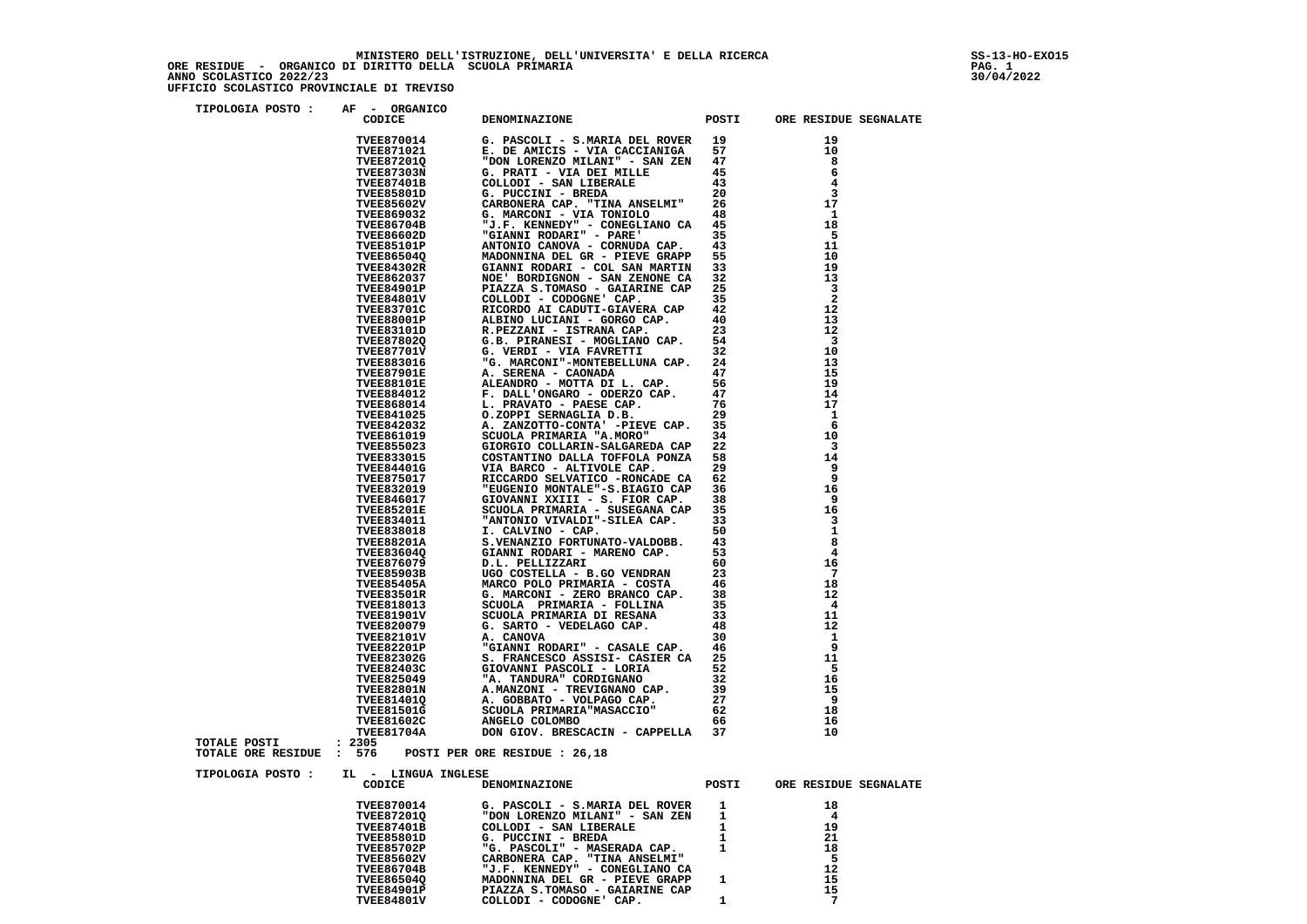$\frac{1}{12022}$ 

| TIPOLOGIA POSTO:                                | AF - ORGANICO<br>CODICE                                                                                     | DENOMINAZIONE                                                                                                                                                                                                                                                                                                                |              | POSTI ORE RESIDUE SEGNALATE |
|-------------------------------------------------|-------------------------------------------------------------------------------------------------------------|------------------------------------------------------------------------------------------------------------------------------------------------------------------------------------------------------------------------------------------------------------------------------------------------------------------------------|--------------|-----------------------------|
|                                                 |                                                                                                             | CODICE DENOMINAZIONE POSTI<br>TVEES70014 G. PASCOLI - S.MARIA DEL ROVER<br>TVEES71021 E. DE AMICIS - VIA CACCIANIGA 57<br>TVEES71021 E. DE AMICIS - VIA CACCIANIGA 57<br>TVEES71011 G. PRATI - VIA DEL MILE 45<br>TVEES7401B G. PRATI -                                                                                      |              | 19                          |
|                                                 |                                                                                                             |                                                                                                                                                                                                                                                                                                                              |              | 10                          |
|                                                 |                                                                                                             |                                                                                                                                                                                                                                                                                                                              |              | 8                           |
|                                                 |                                                                                                             |                                                                                                                                                                                                                                                                                                                              |              | 6                           |
|                                                 |                                                                                                             |                                                                                                                                                                                                                                                                                                                              |              | 4                           |
|                                                 |                                                                                                             |                                                                                                                                                                                                                                                                                                                              |              | 3                           |
|                                                 |                                                                                                             |                                                                                                                                                                                                                                                                                                                              |              | 17                          |
|                                                 |                                                                                                             |                                                                                                                                                                                                                                                                                                                              |              | - 1<br>18                   |
|                                                 |                                                                                                             |                                                                                                                                                                                                                                                                                                                              |              | - 5                         |
|                                                 |                                                                                                             |                                                                                                                                                                                                                                                                                                                              |              | 11                          |
|                                                 |                                                                                                             |                                                                                                                                                                                                                                                                                                                              |              | 10                          |
|                                                 |                                                                                                             |                                                                                                                                                                                                                                                                                                                              |              | 19                          |
|                                                 |                                                                                                             |                                                                                                                                                                                                                                                                                                                              |              | 13                          |
|                                                 |                                                                                                             |                                                                                                                                                                                                                                                                                                                              |              | $\overline{\mathbf{3}}$     |
|                                                 |                                                                                                             |                                                                                                                                                                                                                                                                                                                              |              | $\overline{\mathbf{2}}$     |
|                                                 |                                                                                                             |                                                                                                                                                                                                                                                                                                                              |              | 12                          |
|                                                 |                                                                                                             |                                                                                                                                                                                                                                                                                                                              |              | 13                          |
|                                                 |                                                                                                             |                                                                                                                                                                                                                                                                                                                              |              | 12                          |
|                                                 |                                                                                                             |                                                                                                                                                                                                                                                                                                                              |              | 3<br>10                     |
|                                                 |                                                                                                             |                                                                                                                                                                                                                                                                                                                              |              | 13                          |
|                                                 |                                                                                                             |                                                                                                                                                                                                                                                                                                                              |              | 15                          |
|                                                 |                                                                                                             |                                                                                                                                                                                                                                                                                                                              |              | 19                          |
|                                                 |                                                                                                             |                                                                                                                                                                                                                                                                                                                              |              | 14                          |
|                                                 |                                                                                                             |                                                                                                                                                                                                                                                                                                                              |              | 17                          |
|                                                 |                                                                                                             |                                                                                                                                                                                                                                                                                                                              |              | 1                           |
|                                                 | <b>TVEE842032</b>                                                                                           | A. ZANZOTTO-CONTA' -PIEVE CAP. 35<br>SCUOLA PRIMARIA "A MORO" 34<br>TVEE861019<br>TWERS42032<br>TWEE865019<br>TWEE855023<br>SCUOLA PRIMARIN-SALGAREDA CAP<br>TWEE855023<br>COSTANTINO DALLA TOFFOLA PONZA<br>TWEE844010<br>TWEE8475017<br>TWEE8475017<br>TWEE8475017<br>TWEE832019<br>"EUGENIO MONTALE"-S.FIAGTO CAP<br>TWEE |              | -6                          |
|                                                 |                                                                                                             |                                                                                                                                                                                                                                                                                                                              | 34           | 10                          |
|                                                 |                                                                                                             |                                                                                                                                                                                                                                                                                                                              | 22           | -3                          |
|                                                 |                                                                                                             |                                                                                                                                                                                                                                                                                                                              | 58           | 14                          |
|                                                 |                                                                                                             |                                                                                                                                                                                                                                                                                                                              | 29           | 9<br>9                      |
|                                                 |                                                                                                             |                                                                                                                                                                                                                                                                                                                              | 62<br>36     |                             |
|                                                 |                                                                                                             |                                                                                                                                                                                                                                                                                                                              | 38           | 16<br>9                     |
|                                                 |                                                                                                             |                                                                                                                                                                                                                                                                                                                              |              | 16                          |
|                                                 |                                                                                                             |                                                                                                                                                                                                                                                                                                                              |              | 3                           |
|                                                 |                                                                                                             |                                                                                                                                                                                                                                                                                                                              |              | 1                           |
|                                                 |                                                                                                             |                                                                                                                                                                                                                                                                                                                              |              | 8                           |
|                                                 |                                                                                                             |                                                                                                                                                                                                                                                                                                                              |              | 4                           |
|                                                 |                                                                                                             |                                                                                                                                                                                                                                                                                                                              |              | 16                          |
|                                                 |                                                                                                             |                                                                                                                                                                                                                                                                                                                              |              | -7                          |
|                                                 |                                                                                                             |                                                                                                                                                                                                                                                                                                                              |              | 18                          |
|                                                 |                                                                                                             | TVEE846017<br>TVEE85201E SCUOLA PRIMARIA - SUSGANA CAP 35<br>TVEE85201E SCUOLA PRIMARIA - SUSGANA CAP 35<br>TVEE838018 I. CALUINO - CAP. 50<br>TVEE83801A S. VENANZIO FORTUNATO-VALDOBB. 43<br>TVEE83801A S. VENANZIO FORTUNATO-VALDOBB.                                                                                     |              | 12                          |
|                                                 |                                                                                                             |                                                                                                                                                                                                                                                                                                                              |              | $\overline{4}$              |
|                                                 |                                                                                                             |                                                                                                                                                                                                                                                                                                                              |              | 11<br>12                    |
|                                                 |                                                                                                             |                                                                                                                                                                                                                                                                                                                              |              | 1                           |
|                                                 | <b>TVEE820079<br/>TVEE82101V<br/>TVEE82201P<br/>TVEE82302G<br/>TVEE82403C<br/>TVEE82403C<br/>TVEE82403C</b> | G. SARTO - VEDEDAGO CAL.<br>A. CANOVA<br>"GIANNI RODARI" - CASALE CAP. 46<br>S. FRANCESCO ASSISI- CASIER CA 25<br>ATOVANNI PASCOLI - LORIA 522                                                                                                                                                                               |              | 9                           |
|                                                 |                                                                                                             |                                                                                                                                                                                                                                                                                                                              |              | 11                          |
|                                                 |                                                                                                             | GIOVANNI PASCOLI - LORIA                                                                                                                                                                                                                                                                                                     |              | -5                          |
|                                                 | <b>TVEE825049</b>                                                                                           | "A. TANDURA" CORDIGNANO                                                                                                                                                                                                                                                                                                      | 32           | 16                          |
|                                                 | <b>TVEE82801N</b>                                                                                           |                                                                                                                                                                                                                                                                                                                              |              | 15                          |
|                                                 | <b>TVEE81401Q</b>                                                                                           |                                                                                                                                                                                                                                                                                                                              | 27           | 9                           |
|                                                 | <b>TVEE81501G</b>                                                                                           |                                                                                                                                                                                                                                                                                                                              |              | 18                          |
|                                                 | <b>TVEE81602C</b>                                                                                           | A. IANDUKA" CURDIGNANO 32<br>A. MANZONI - TREVIGNANO CAP. 39<br>A. GOBBATO - VOLPAGO CAP. 27<br>SCUOLA PRIMARIA "MASACCIO" 62<br>ANGELO COLOMBO 66                                                                                                                                                                           |              | 16                          |
|                                                 | <b>TVEE81704A</b>                                                                                           | DON GIOV. BRESCACIN - CAPPELLA 37                                                                                                                                                                                                                                                                                            |              | 10                          |
| <b>TOTALE POSTI</b><br>TOTALE ORE RESIDUE : 576 | : 2305                                                                                                      | POSTI PER ORE RESIDUE : 26,18                                                                                                                                                                                                                                                                                                |              |                             |
| TIPOLOGIA POSTO:                                | IL - LINGUA INGLESE                                                                                         | CODICE DENOMINAZIONE                                                                                                                                                                                                                                                                                                         |              | POSTI ORE RESIDUE SEGNALATE |
|                                                 |                                                                                                             | TVEE870014 G. PASCOLI - S.MARIA DEL ROVER<br>TVEE872010<br>TVEE87401B COLLODI - SAN LIBERALE<br>TVEE87401B COLLODI - SAN LIBERALE<br>TVEE85801D G. PUCCINI - BREDA<br>TVEE856027 "G. PASCOLI" - MASERADA CAP.<br>TVEE856027 CARBONERA CAP.                                                                                   | $\mathbf{1}$ | 18                          |
|                                                 |                                                                                                             |                                                                                                                                                                                                                                                                                                                              | $\mathbf{1}$ | $\overline{\mathbf{4}}$     |
|                                                 |                                                                                                             |                                                                                                                                                                                                                                                                                                                              | 1            | 19                          |
|                                                 |                                                                                                             |                                                                                                                                                                                                                                                                                                                              | $\mathbf{1}$ | 21                          |
|                                                 |                                                                                                             |                                                                                                                                                                                                                                                                                                                              | $\mathbf 1$  | 18                          |
|                                                 |                                                                                                             |                                                                                                                                                                                                                                                                                                                              |              | 5                           |
|                                                 |                                                                                                             |                                                                                                                                                                                                                                                                                                                              |              | 12<br>15                    |
|                                                 |                                                                                                             | MADONNINA DEL GR - PIEVE GRAPP                                                                                                                                                                                                                                                                                               | $\mathbf{1}$ | 15                          |
|                                                 | TVEE84801V                                                                                                  | COLLODI - CODOGNE' CAP.                                                                                                                                                                                                                                                                                                      | 1            | - 7                         |
|                                                 |                                                                                                             |                                                                                                                                                                                                                                                                                                                              |              |                             |